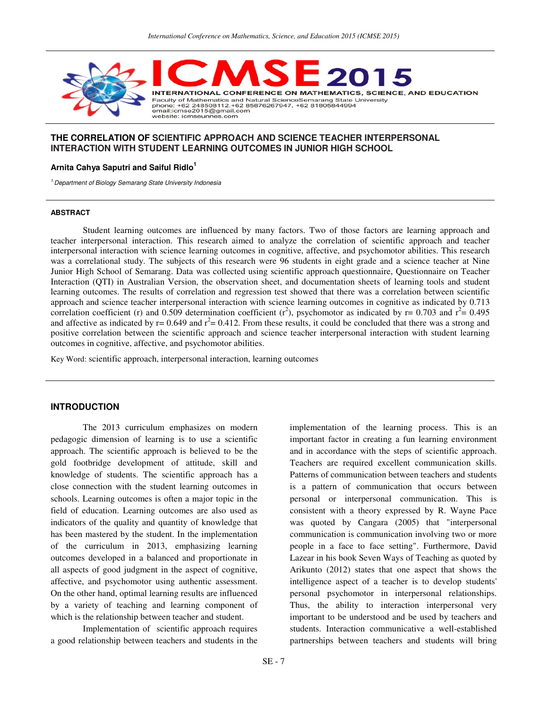

## **THE CORRELATION OF SCIENTIFIC APPROACH AND SCIENCE TEACHER INTERPERSONAL INTERACTION WITH STUDENT LEARNING OUTCOMES IN JUNIOR HIGH SCHOOL**

## **Arnita Cahya Saputri and Saiful Ridlo<sup>1</sup>**

<sup>1.</sup> Department of Biology Semarang State University Indonesia

#### **ABSTRACT**

Student learning outcomes are influenced by many factors. Two of those factors are learning approach and teacher interpersonal interaction. This research aimed to analyze the correlation of scientific approach and teacher interpersonal interaction with science learning outcomes in cognitive, affective, and psychomotor abilities. This research was a correlational study. The subjects of this research were 96 students in eight grade and a science teacher at Nine Junior High School of Semarang. Data was collected using scientific approach questionnaire, Questionnaire on Teacher Interaction (QTI) in Australian Version, the observation sheet, and documentation sheets of learning tools and student learning outcomes. The results of correlation and regression test showed that there was a correlation between scientific approach and science teacher interpersonal interaction with science learning outcomes in cognitive as indicated by 0.713 correlation coefficient (r) and 0.509 determination coefficient (r<sup>2</sup>), psychomotor as indicated by r= 0.703 and r<sup>2</sup>= 0.495 and affective as indicated by  $r = 0.649$  and  $r^2 = 0.412$ . From these results, it could be concluded that there was a strong and positive correlation between the scientific approach and science teacher interpersonal interaction with student learning outcomes in cognitive, affective, and psychomotor abilities.

Key Word: scientific approach, interpersonal interaction, learning outcomes

### **INTRODUCTION**

The 2013 curriculum emphasizes on modern pedagogic dimension of learning is to use a scientific approach. The scientific approach is believed to be the gold footbridge development of attitude, skill and knowledge of students. The scientific approach has a close connection with the student learning outcomes in schools. Learning outcomes is often a major topic in the field of education. Learning outcomes are also used as indicators of the quality and quantity of knowledge that has been mastered by the student. In the implementation of the curriculum in 2013, emphasizing learning outcomes developed in a balanced and proportionate in all aspects of good judgment in the aspect of cognitive, affective, and psychomotor using authentic assessment. On the other hand, optimal learning results are influenced by a variety of teaching and learning component of which is the relationship between teacher and student.

Implementation of scientific approach requires a good relationship between teachers and students in the

implementation of the learning process. This is an important factor in creating a fun learning environment and in accordance with the steps of scientific approach. Teachers are required excellent communication skills. Patterns of communication between teachers and students is a pattern of communication that occurs between personal or interpersonal communication. This is consistent with a theory expressed by R. Wayne Pace was quoted by Cangara (2005) that "interpersonal communication is communication involving two or more people in a face to face setting". Furthermore, David Lazear in his book Seven Ways of Teaching as quoted by Arikunto (2012) states that one aspect that shows the intelligence aspect of a teacher is to develop students' personal psychomotor in interpersonal relationships. Thus, the ability to interaction interpersonal very important to be understood and be used by teachers and students. Interaction communicative a well-established partnerships between teachers and students will bring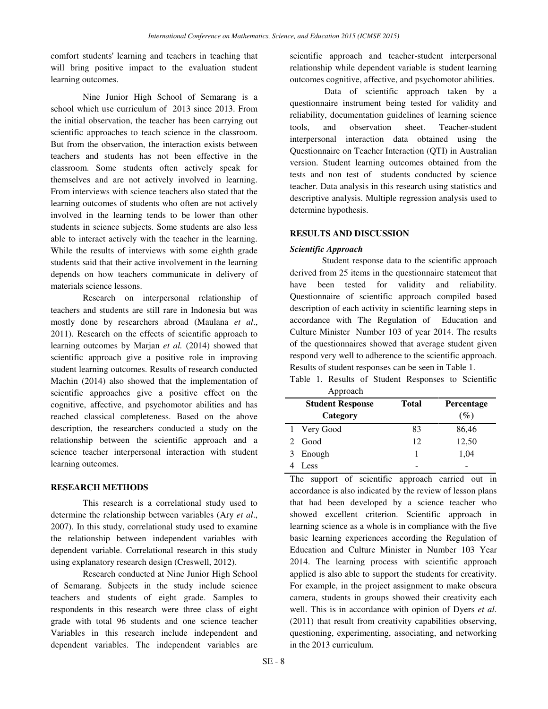comfort students' learning and teachers in teaching that will bring positive impact to the evaluation student learning outcomes.

Nine Junior High School of Semarang is a school which use curriculum of 2013 since 2013. From the initial observation, the teacher has been carrying out scientific approaches to teach science in the classroom. But from the observation, the interaction exists between teachers and students has not been effective in the classroom. Some students often actively speak for themselves and are not actively involved in learning. From interviews with science teachers also stated that the learning outcomes of students who often are not actively involved in the learning tends to be lower than other students in science subjects. Some students are also less able to interact actively with the teacher in the learning. While the results of interviews with some eighth grade students said that their active involvement in the learning depends on how teachers communicate in delivery of materials science lessons.

Research on interpersonal relationship of teachers and students are still rare in Indonesia but was mostly done by researchers abroad (Maulana *et al*., 2011). Research on the effects of scientific approach to learning outcomes by Marjan *et al.* (2014) showed that scientific approach give a positive role in improving student learning outcomes. Results of research conducted Machin (2014) also showed that the implementation of scientific approaches give a positive effect on the cognitive, affective, and psychomotor abilities and has reached classical completeness. Based on the above description, the researchers conducted a study on the relationship between the scientific approach and a science teacher interpersonal interaction with student learning outcomes.

## **RESEARCH METHODS**

This research is a correlational study used to determine the relationship between variables (Ary *et al*., 2007). In this study, correlational study used to examine the relationship between independent variables with dependent variable. Correlational research in this study using explanatory research design (Creswell, 2012).

Research conducted at Nine Junior High School of Semarang. Subjects in the study include science teachers and students of eight grade. Samples to respondents in this research were three class of eight grade with total 96 students and one science teacher Variables in this research include independent and dependent variables. The independent variables are

scientific approach and teacher-student interpersonal relationship while dependent variable is student learning outcomes cognitive, affective, and psychomotor abilities.

 Data of scientific approach taken by a questionnaire instrument being tested for validity and reliability, documentation guidelines of learning science tools, and observation sheet. Teacher-student interpersonal interaction data obtained using the Questionnaire on Teacher Interaction (QTI) in Australian version. Student learning outcomes obtained from the tests and non test of students conducted by science teacher. Data analysis in this research using statistics and descriptive analysis. Multiple regression analysis used to determine hypothesis.

## **RESULTS AND DISCUSSION**

### *Scientific Approach*

Student response data to the scientific approach derived from 25 items in the questionnaire statement that have been tested for validity and reliability. Questionnaire of scientific approach compiled based description of each activity in scientific learning steps in accordance with The Regulation of Education and Culture Minister Number 103 of year 2014. The results of the questionnaires showed that average student given respond very well to adherence to the scientific approach. Results of student responses can be seen in Table 1.

|  |          |  |  | Table 1. Results of Student Responses to Scientific |  |
|--|----------|--|--|-----------------------------------------------------|--|
|  | Approach |  |  |                                                     |  |

| Tepploach               |                       |                   |
|-------------------------|-----------------------|-------------------|
| <b>Student Response</b> | <b>Total</b>          | <b>Percentage</b> |
| Category                |                       | $(\%)$            |
|                         | 83                    | 86,46             |
| Good                    | 12                    | 12,50             |
|                         |                       | 1,04              |
| Less                    |                       |                   |
|                         | 1 Very Good<br>Enough |                   |

The support of scientific approach carried out in accordance is also indicated by the review of lesson plans that had been developed by a science teacher who showed excellent criterion. Scientific approach in learning science as a whole is in compliance with the five basic learning experiences according the Regulation of Education and Culture Minister in Number 103 Year 2014. The learning process with scientific approach applied is also able to support the students for creativity. For example, in the project assignment to make obscura camera, students in groups showed their creativity each well. This is in accordance with opinion of Dyers *et al*. (2011) that result from creativity capabilities observing, questioning, experimenting, associating, and networking in the 2013 curriculum.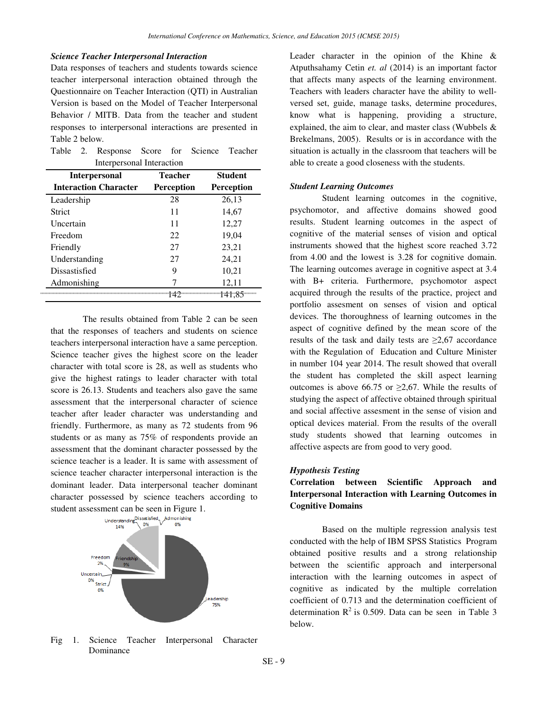#### *Science Teacher Interpersonal Interaction*

Data responses of teachers and students towards science teacher interpersonal interaction obtained through the Questionnaire on Teacher Interaction (QTI) in Australian Version is based on the Model of Teacher Interpersonal Behavior / MITB. Data from the teacher and student responses to interpersonal interactions are presented in Table 2 below.

|  | Table 2. Response Score for Science Teacher |  |  |  |
|--|---------------------------------------------|--|--|--|
|  | Interpersonal Interaction                   |  |  |  |

| <b>Interpersonal</b>         | <b>Teacher</b>    | <b>Student</b>    |
|------------------------------|-------------------|-------------------|
| <b>Interaction Character</b> | <b>Perception</b> | <b>Perception</b> |
| Leadership                   | 28                | 26,13             |
| Strict                       | 11                | 14,67             |
| Uncertain                    | 11                | 12,27             |
| Freedom                      | 22                | 19,04             |
| Friendly                     | 27                | 23,21             |
| Understanding                | 27                | 24,21             |
| Dissastisfied                | 9                 | 10,21             |
| Admonishing                  |                   | 12,11             |
|                              |                   | 141.85            |

 The results obtained from Table 2 can be seen that the responses of teachers and students on science teachers interpersonal interaction have a same perception. Science teacher gives the highest score on the leader character with total score is 28, as well as students who give the highest ratings to leader character with total score is 26.13. Students and teachers also gave the same assessment that the interpersonal character of science teacher after leader character was understanding and friendly. Furthermore, as many as 72 students from 96 students or as many as 75% of respondents provide an assessment that the dominant character possessed by the science teacher is a leader. It is same with assessment of science teacher character interpersonal interaction is the dominant leader. Data interpersonal teacher dominant character possessed by science teachers according to student assessment can be seen in Figure 1.



Fig 1. Science Teacher Interpersonal Character Dominance

Leader character in the opinion of the Khine & Atputhsahamy Cetin *et. al* (2014) is an important factor that affects many aspects of the learning environment. Teachers with leaders character have the ability to wellversed set, guide, manage tasks, determine procedures, know what is happening, providing a structure, explained, the aim to clear, and master class (Wubbels & Brekelmans, 2005). Results or is in accordance with the situation is actually in the classroom that teachers will be able to create a good closeness with the students.

### *Student Learning Outcomes*

Student learning outcomes in the cognitive, psychomotor, and affective domains showed good results. Student learning outcomes in the aspect of cognitive of the material senses of vision and optical instruments showed that the highest score reached 3.72 from 4.00 and the lowest is 3.28 for cognitive domain. The learning outcomes average in cognitive aspect at 3.4 with B+ criteria. Furthermore, psychomotor aspect acquired through the results of the practice, project and portfolio assesment on senses of vision and optical devices. The thoroughness of learning outcomes in the aspect of cognitive defined by the mean score of the results of the task and daily tests are  $\geq 2.67$  accordance with the Regulation of Education and Culture Minister in number 104 year 2014. The result showed that overall the student has completed the skill aspect learning outcomes is above 66.75 or  $\geq 2.67$ . While the results of studying the aspect of affective obtained through spiritual and social affective assesment in the sense of vision and optical devices material. From the results of the overall study students showed that learning outcomes in affective aspects are from good to very good.

#### *Hypothesis Testing*

## **Correlation between Scientific Approach and Interpersonal Interaction with Learning Outcomes in Cognitive Domains**

 Based on the multiple regression analysis test conducted with the help of IBM SPSS Statistics Program obtained positive results and a strong relationship between the scientific approach and interpersonal interaction with the learning outcomes in aspect of cognitive as indicated by the multiple correlation coefficient of 0.713 and the determination coefficient of determination  $R^2$  is 0.509. Data can be seen in Table 3 below.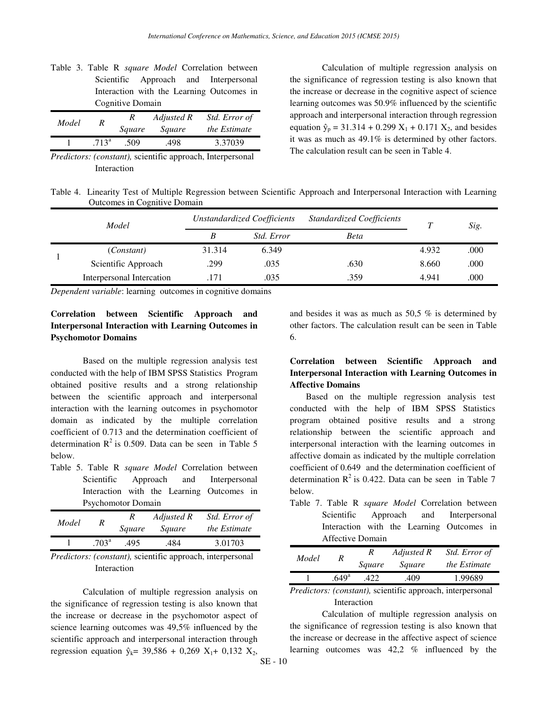| Table 3. Table R <i>square Model</i> Correlation between |                  |  |  |    |  |                                           |  |  |  |  |  |
|----------------------------------------------------------|------------------|--|--|----|--|-------------------------------------------|--|--|--|--|--|
|                                                          |                  |  |  |    |  | Scientific Approach and Interpersonal     |  |  |  |  |  |
|                                                          |                  |  |  |    |  | Interaction with the Learning Outcomes in |  |  |  |  |  |
|                                                          | Cognitive Domain |  |  |    |  |                                           |  |  |  |  |  |
| $\overline{11}$                                          |                  |  |  | R. |  | Adjusted R Std. Error of                  |  |  |  |  |  |

*Model R Square Square the Estimate*  1 .713<sup>a</sup> .509 .498 3.37039

*Predictors: (constant),* scientific approach, Interpersonal Interaction

Calculation of multiple regression analysis on the significance of regression testing is also known that the increase or decrease in the cognitive aspect of science learning outcomes was 50.9% influenced by the scientific approach and interpersonal interaction through regression equation  $\hat{y}_p = 31.314 + 0.299 X_1 + 0.171 X_2$ , and besides it was as much as 49.1% is determined by other factors. The calculation result can be seen in Table 4.

Table 4. Linearity Test of Multiple Regression between Scientific Approach and Interpersonal Interaction with Learning Outcomes in Cognitive Domain

| Model |                           |        | Unstandardized Coefficients | <b>Standardized Coefficients</b> |       | Sig. |
|-------|---------------------------|--------|-----------------------------|----------------------------------|-------|------|
|       |                           | B      | <i>Std. Error</i>           | Beta                             |       |      |
|       | (Constant)                | 31.314 | 6.349                       |                                  | 4.932 | .000 |
|       | Scientific Approach       | .299   | .035                        | .630                             | 8.660 | .000 |
|       | Interpersonal Intercation | 171    | .035                        | .359                             | 4.941 | .000 |

*Dependent variable*: learning outcomes in cognitive domains

# **Correlation between Scientific Approach and Interpersonal Interaction with Learning Outcomes in Psychomotor Domains**

Based on the multiple regression analysis test conducted with the help of IBM SPSS Statistics Program obtained positive results and a strong relationship between the scientific approach and interpersonal interaction with the learning outcomes in psychomotor domain as indicated by the multiple correlation coefficient of 0.713 and the determination coefficient of determination  $R^2$  is 0.509. Data can be seen in Table 5 below.

Table 5. Table R *square Model* Correlation between Scientific Approach and Interpersonal Interaction with the Learning Outcomes in Psychomotor Domain

| Model  |                  | R<br>Square | Adjusted R<br>Square | Std. Error of<br>the Estimate |
|--------|------------------|-------------|----------------------|-------------------------------|
|        | 703 <sup>a</sup> | .495        | .484                 | 3.01703                       |
| $\sim$ |                  |             |                      |                               |

*Predictors: (constant),* scientific approach, interpersonal Interaction

Calculation of multiple regression analysis on the significance of regression testing is also known that the increase or decrease in the psychomotor aspect of science learning outcomes was 49,5% influenced by the scientific approach and interpersonal interaction through regression equation  $\hat{y}_k$ = 39,586 + 0,269 X<sub>1</sub>+ 0,132 X<sub>2</sub>,

and besides it was as much as 50,5 % is determined by other factors. The calculation result can be seen in Table 6.

# **Correlation between Scientific Approach and Interpersonal Interaction with Learning Outcomes in Affective Domains**

 Based on the multiple regression analysis test conducted with the help of IBM SPSS Statistics program obtained positive results and a strong relationship between the scientific approach and interpersonal interaction with the learning outcomes in affective domain as indicated by the multiple correlation coefficient of 0.649 and the determination coefficient of determination  $R^2$  is 0.422. Data can be seen in Table 7 below.

Table 7. Table R *square Model* Correlation between Scientific Approach and Interpersonal Interaction with the Learning Outcomes in Affective Domain

| Model |                   | Square | Adjusted R<br>Square | Std. Error of<br>the Estimate |
|-------|-------------------|--------|----------------------|-------------------------------|
|       | .649 <sup>a</sup> |        | .409                 | 1.99689                       |
|       |                   |        |                      |                               |

*Predictors: (constant),* scientific approach, interpersonal Interaction

Calculation of multiple regression analysis on the significance of regression testing is also known that the increase or decrease in the affective aspect of science learning outcomes was 42,2 % influenced by the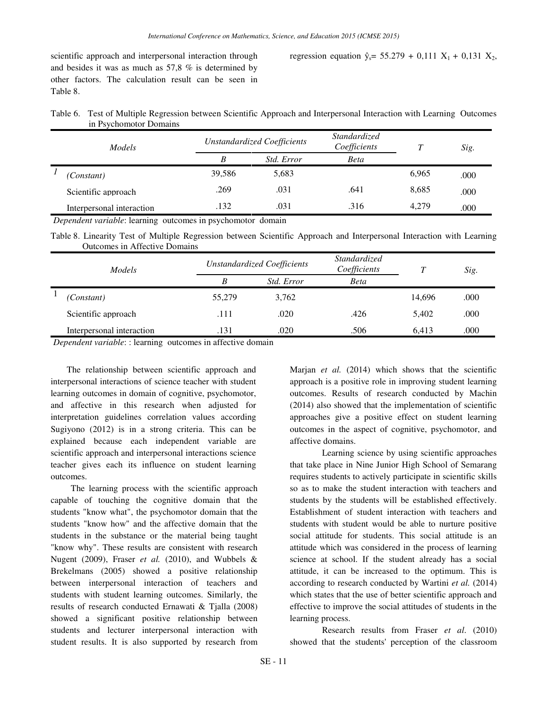scientific approach and interpersonal interaction through the set of 1 and besides it was as much as 57,8 % is determined by other factors. The calculation result can be seen in Table 8.

regression equation 
$$
\hat{y}_s = 55.279 + 0.111 \text{ X}_1 + 0.131 \text{ X}_2
$$

| Table 6. Test of Multiple Regression between Scientific Approach and Interpersonal Interaction with Learning Outcomes |  |
|-----------------------------------------------------------------------------------------------------------------------|--|
| in Psychomotor Domains                                                                                                |  |

| <b>Models</b>             |        | <b>Unstandardized Coefficients</b> | <i>Standardized</i><br>Coefficients |       | Sig. |
|---------------------------|--------|------------------------------------|-------------------------------------|-------|------|
|                           | B      | <i>Std. Error</i>                  | <b>Beta</b>                         |       |      |
| (Constant)                | 39.586 | 5,683                              |                                     | 6.965 | .000 |
| Scientific approach       | .269   | .031                               | .641                                | 8.685 | .000 |
| Interpersonal interaction | .132   | .031                               | .316                                | 4.279 | .000 |

*Dependent variable*: learning outcomes in psychomotor domain

Table 8. Linearity Test of Multiple Regression between Scientific Approach and Interpersonal Interaction with Learning Outcomes in Affective Domains

| Models |                           |        | <b>Unstandardized Coefficients</b> | <i>Standardized</i><br>Coefficients |        | Sig. |
|--------|---------------------------|--------|------------------------------------|-------------------------------------|--------|------|
|        |                           | B      | <i>Std. Error</i>                  | Beta                                |        |      |
|        | (Constant)                | 55,279 | 3,762                              |                                     | 14,696 | .000 |
|        | Scientific approach       | .111   | .020                               | .426                                | 5.402  | .000 |
|        | Interpersonal interaction | .131   | .020                               | .506                                | 6.413  | .000 |

*Dependent variable*: : learning outcomes in affective domain

 The relationship between scientific approach and interpersonal interactions of science teacher with student learning outcomes in domain of cognitive, psychomotor, and affective in this research when adjusted for interpretation guidelines correlation values according Sugiyono (2012) is in a strong criteria. This can be explained because each independent variable are scientific approach and interpersonal interactions science teacher gives each its influence on student learning outcomes.

 The learning process with the scientific approach capable of touching the cognitive domain that the students "know what", the psychomotor domain that the students "know how" and the affective domain that the students in the substance or the material being taught "know why". These results are consistent with research Nugent (2009), Fraser *et al.* (2010), and Wubbels & Brekelmans (2005) showed a positive relationship between interpersonal interaction of teachers and students with student learning outcomes. Similarly, the results of research conducted Ernawati & Tjalla (2008) showed a significant positive relationship between students and lecturer interpersonal interaction with student results. It is also supported by research from

Marjan *et al.* (2014) which shows that the scientific approach is a positive role in improving student learning outcomes. Results of research conducted by Machin (2014) also showed that the implementation of scientific approaches give a positive effect on student learning outcomes in the aspect of cognitive, psychomotor, and affective domains.

Learning science by using scientific approaches that take place in Nine Junior High School of Semarang requires students to actively participate in scientific skills so as to make the student interaction with teachers and students by the students will be established effectively. Establishment of student interaction with teachers and students with student would be able to nurture positive social attitude for students. This social attitude is an attitude which was considered in the process of learning science at school. If the student already has a social attitude, it can be increased to the optimum. This is according to research conducted by Wartini *et al.* (2014) which states that the use of better scientific approach and effective to improve the social attitudes of students in the learning process.

Research results from Fraser *et al*. (2010) showed that the students' perception of the classroom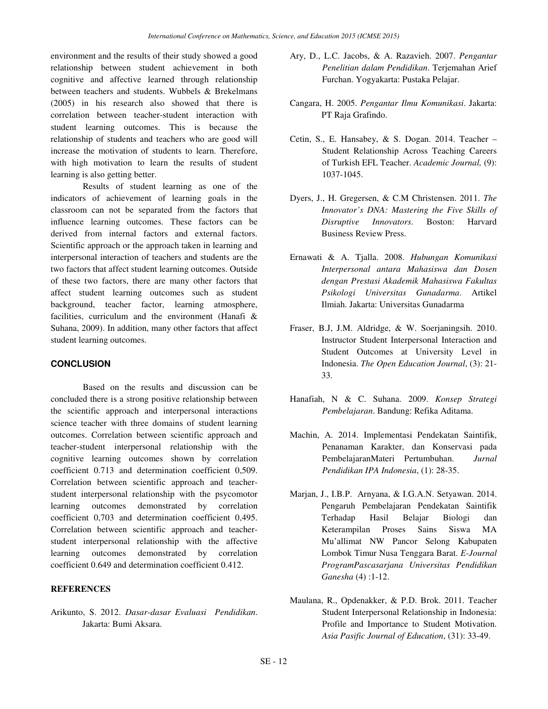environment and the results of their study showed a good relationship between student achievement in both cognitive and affective learned through relationship between teachers and students. Wubbels & Brekelmans (2005) in his research also showed that there is correlation between teacher-student interaction with student learning outcomes. This is because the relationship of students and teachers who are good will increase the motivation of students to learn. Therefore, with high motivation to learn the results of student learning is also getting better.

Results of student learning as one of the indicators of achievement of learning goals in the classroom can not be separated from the factors that influence learning outcomes. These factors can be derived from internal factors and external factors. Scientific approach or the approach taken in learning and interpersonal interaction of teachers and students are the two factors that affect student learning outcomes. Outside of these two factors, there are many other factors that affect student learning outcomes such as student background, teacher factor, learning atmosphere, facilities, curriculum and the environment (Hanafi & Suhana, 2009). In addition, many other factors that affect student learning outcomes.

## **CONCLUSION**

Based on the results and discussion can be concluded there is a strong positive relationship between the scientific approach and interpersonal interactions science teacher with three domains of student learning outcomes. Correlation between scientific approach and teacher-student interpersonal relationship with the cognitive learning outcomes shown by correlation coefficient 0.713 and determination coefficient 0,509. Correlation between scientific approach and teacherstudent interpersonal relationship with the psycomotor learning outcomes demonstrated by correlation coefficient 0,703 and determination coefficient 0,495. Correlation between scientific approach and teacherstudent interpersonal relationship with the affective learning outcomes demonstrated by correlation coefficient 0.649 and determination coefficient 0.412.

#### **REFERENCES**

Arikunto, S. 2012. *Dasar-dasar Evaluasi Pendidikan*. Jakarta: Bumi Aksara.

- Ary, D., L.C. Jacobs, & A. Razavieh. 2007. *Pengantar Penelitian dalam Pendidikan*. Terjemahan Arief Furchan. Yogyakarta: Pustaka Pelajar.
- Cangara, H. 2005. *Pengantar Ilmu Komunikasi*. Jakarta: PT Raja Grafindo.
- Cetin, S., E. Hansabey, & S. Dogan. 2014. Teacher Student Relationship Across Teaching Careers of Turkish EFL Teacher. *Academic Journal,* (9): 1037-1045.
- Dyers, J., H. Gregersen, & C.M Christensen. 2011. *The Innovator's DNA: Mastering the Five Skills of Disruptive Innovators*. Boston: Harvard Business Review Press.
- Ernawati & A. Tjalla. 2008. *Hubungan Komunikasi Interpersonal antara Mahasiswa dan Dosen dengan Prestasi Akademik Mahasiswa Fakultas Psikologi Universitas Gunadarma*. Artikel Ilmiah. Jakarta: Universitas Gunadarma
- Fraser, B.J, J.M. Aldridge, & W. Soerjaningsih. 2010. Instructor Student Interpersonal Interaction and Student Outcomes at University Level in Indonesia. *The Open Education Journal*, (3): 21- 33*.*
- Hanafiah, N & C. Suhana. 2009. *Konsep Strategi Pembelajaran*. Bandung: Refika Aditama.
- Machin, A. 2014. Implementasi Pendekatan Saintifik, Penanaman Karakter, dan Konservasi pada PembelajaranMateri Pertumbuhan. *Jurnal Pendidikan IPA Indonesia*, (1): 28-35.
- Marjan, J., I.B.P. Arnyana, & I.G.A.N. Setyawan. 2014. Pengaruh Pembelajaran Pendekatan Saintifik Terhadap Hasil Belajar Biologi dan Keterampilan Proses Sains Siswa MA Mu'allimat NW Pancor Selong Kabupaten Lombok Timur Nusa Tenggara Barat. *E-Journal ProgramPascasarjana Universitas Pendidikan Ganesha* (4) :1-12.
- Maulana, R., Opdenakker, & P.D. Brok. 2011. Teacher Student Interpersonal Relationship in Indonesia: Profile and Importance to Student Motivation. *Asia Pasific Journal of Education*, (31): 33-49.